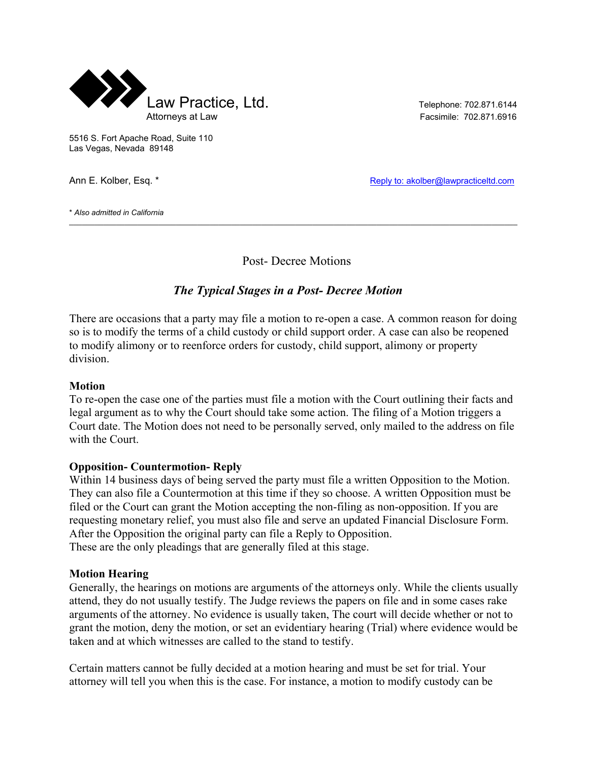

5516 S. Fort Apache Road, Suite 110 Las Vegas, Nevada 89148

Ann E. Kolber, Esq. \* Reply to: akolber@lawpracticeltd.com

\* *Also admitted in California*  $\mathcal{L}_\mathcal{L} = \mathcal{L}_\mathcal{L} = \mathcal{L}_\mathcal{L} = \mathcal{L}_\mathcal{L} = \mathcal{L}_\mathcal{L} = \mathcal{L}_\mathcal{L} = \mathcal{L}_\mathcal{L} = \mathcal{L}_\mathcal{L} = \mathcal{L}_\mathcal{L} = \mathcal{L}_\mathcal{L} = \mathcal{L}_\mathcal{L} = \mathcal{L}_\mathcal{L} = \mathcal{L}_\mathcal{L} = \mathcal{L}_\mathcal{L} = \mathcal{L}_\mathcal{L} = \mathcal{L}_\mathcal{L} = \mathcal{L}_\mathcal{L}$ 

Post- Decree Motions

# *The Typical Stages in a Post- Decree Motion*

There are occasions that a party may file a motion to re-open a case. A common reason for doing so is to modify the terms of a child custody or child support order. A case can also be reopened to modify alimony or to reenforce orders for custody, child support, alimony or property division.

#### **Motion**

To re-open the case one of the parties must file a motion with the Court outlining their facts and legal argument as to why the Court should take some action. The filing of a Motion triggers a Court date. The Motion does not need to be personally served, only mailed to the address on file with the Court.

#### **Opposition- Countermotion- Reply**

Within 14 business days of being served the party must file a written Opposition to the Motion. They can also file a Countermotion at this time if they so choose. A written Opposition must be filed or the Court can grant the Motion accepting the non-filing as non-opposition. If you are requesting monetary relief, you must also file and serve an updated Financial Disclosure Form. After the Opposition the original party can file a Reply to Opposition. These are the only pleadings that are generally filed at this stage.

#### **Motion Hearing**

Generally, the hearings on motions are arguments of the attorneys only. While the clients usually attend, they do not usually testify. The Judge reviews the papers on file and in some cases rake arguments of the attorney. No evidence is usually taken, The court will decide whether or not to grant the motion, deny the motion, or set an evidentiary hearing (Trial) where evidence would be taken and at which witnesses are called to the stand to testify.

Certain matters cannot be fully decided at a motion hearing and must be set for trial. Your attorney will tell you when this is the case. For instance, a motion to modify custody can be